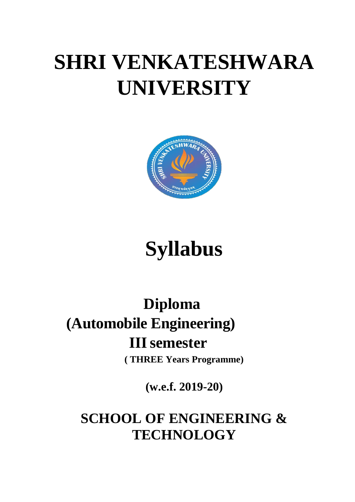# **SHRI VENKATESHWARA UNIVERSITY**



# **Syllabus**

# **Diploma (Automobile Engineering) IIIsemester**

**( THREE Years Programme)**

**(w.e.f. 2019-20)**

## **SCHOOL OF ENGINEERING & TECHNOLOGY**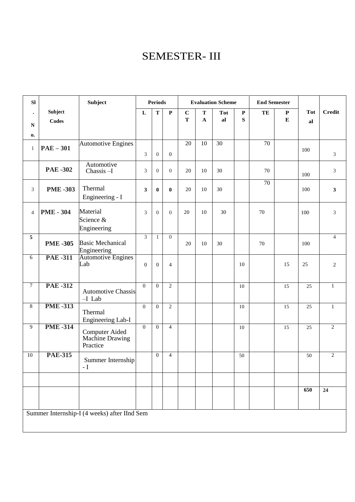## SEMESTER- III

| SI                          |                         | Subject                                              | <b>Periods</b>   |                  |                  | <b>Evaluation Scheme</b> |                            |                  | <b>End Semester</b> |                 |                        |                  |                |
|-----------------------------|-------------------------|------------------------------------------------------|------------------|------------------|------------------|--------------------------|----------------------------|------------------|---------------------|-----------------|------------------------|------------------|----------------|
| $\bullet$<br>${\bf N}$      | Subject<br><b>Codes</b> |                                                      | $\mathbf L$      | $\mathbf T$      | $\mathbf P$      | $\mathbf C$<br>T         | $\mathbf T$<br>$\mathbf A$ | <b>Tot</b><br>al | $\mathbf P$<br>S    | TE              | ${\bf P}$<br>${\bf E}$ | <b>Tot</b><br>al | <b>Credit</b>  |
| 0.                          |                         |                                                      |                  |                  |                  |                          |                            |                  |                     |                 |                        |                  |                |
| $\mathbf{1}$                | $PAE-301$               | <b>Automotive Engines</b>                            | 3                | $\boldsymbol{0}$ | $\boldsymbol{0}$ | $\overline{20}$          | $\overline{10}$            | $\overline{30}$  |                     | $\overline{70}$ |                        | 100              | $\mathfrak{Z}$ |
|                             | <b>PAE-302</b>          | Automotive<br>Chassis-I                              | 3                | $\theta$         | $\overline{0}$   | 20                       | 10                         | 30               |                     | 70              |                        | 100              | $\mathfrak{Z}$ |
| $\ensuremath{\mathfrak{Z}}$ | <b>PME-303</b>          | Thermal<br>Engineering - I                           | 3                | $\bf{0}$         | $\bf{0}$         | 20                       | 10                         | 30               |                     | 70              |                        | 100              | $\mathbf{3}$   |
| $\overline{4}$              | <b>PME - 304</b>        | Material<br>Science &<br>Engineering                 | 3                | $\overline{0}$   | $\overline{0}$   | 20                       | 10                         | 30               |                     | 70              |                        | 100              | 3              |
| 5                           | <b>PME-305</b>          | <b>Basic Mechanical</b><br>Engineering               | 3                | $\mathbf{1}$     | $\boldsymbol{0}$ | 20                       | 10                         | 30               |                     | 70              |                        | 100              | $\overline{4}$ |
| 6                           | <b>PAE-311</b>          | <b>Automotive Engines</b><br>Lab                     | $\boldsymbol{0}$ | $\boldsymbol{0}$ | $\overline{4}$   |                          |                            |                  | 10                  |                 | 15                     | 25               | $\mathbf{2}$   |
| $\overline{7}$              | <b>PAE-312</b>          | <b>Automotive Chassis</b><br>$-I$ Lab                | $\mathbf{0}$     | $\overline{0}$   | $\overline{2}$   |                          |                            |                  | $10\,$              |                 | 15                     | 25               | $\,1\,$        |
| $\overline{8}$              | <b>PME-313</b>          | Thermal<br>Engineering Lab-I                         | $\mathbf{0}$     | $\mathbf{0}$     | $\mathbf{2}$     |                          |                            |                  | 10                  |                 | 15                     | $25\,$           | $\,1\,$        |
| $\overline{9}$              | <b>PME-314</b>          | <b>Computer Aided</b><br>Machine Drawing<br>Practice | $\Omega$         | $\Omega$         | $\overline{4}$   |                          |                            |                  | 10                  |                 | 15                     | 25               | $\overline{2}$ |
| 10                          | <b>PAE-315</b>          | Summer Internship<br>- $\mathbf I$                   |                  | $\mathbf{0}$     | $\overline{4}$   |                          |                            |                  | 50                  |                 |                        | 50               | $\overline{c}$ |
|                             |                         |                                                      |                  |                  |                  |                          |                            |                  |                     |                 |                        |                  |                |
|                             |                         |                                                      |                  |                  |                  |                          |                            |                  |                     |                 |                        | 650              | 24             |
|                             |                         | Summer Internship-I (4 weeks) after IInd Sem         |                  |                  |                  |                          |                            |                  |                     |                 |                        |                  |                |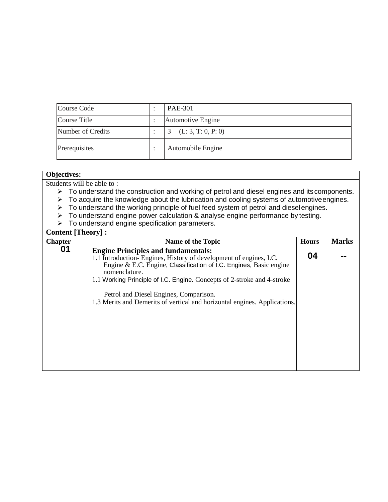| Course Code       | <b>PAE-301</b>     |
|-------------------|--------------------|
| Course Title      | Automotive Engine  |
| Number of Credits | (L: 3, T: 0, P: 0) |
| Prerequisites     | Automobile Engine  |

| <b>Objectives:</b>                                                                                                                                                                                                                          |                                                                                                                                                                                                                                                                                                                                                                                                          |              |              |  |  |  |  |
|---------------------------------------------------------------------------------------------------------------------------------------------------------------------------------------------------------------------------------------------|----------------------------------------------------------------------------------------------------------------------------------------------------------------------------------------------------------------------------------------------------------------------------------------------------------------------------------------------------------------------------------------------------------|--------------|--------------|--|--|--|--|
| Students will be able to:<br>$\triangleright$ To understand the construction and working of petrol and diesel engines and its components.<br>To acquire the knowledge about the lubrication and cooling systems of automotive engines.<br>➤ |                                                                                                                                                                                                                                                                                                                                                                                                          |              |              |  |  |  |  |
| To understand the working principle of fuel feed system of petrol and dieselengines.<br>➤<br>To understand engine power calculation & analyse engine performance by testing.<br>➤<br>To understand engine specification parameters.<br>➤    |                                                                                                                                                                                                                                                                                                                                                                                                          |              |              |  |  |  |  |
| <b>Content [Theory]:</b>                                                                                                                                                                                                                    |                                                                                                                                                                                                                                                                                                                                                                                                          |              |              |  |  |  |  |
| <b>Chapter</b>                                                                                                                                                                                                                              | Name of the Topic                                                                                                                                                                                                                                                                                                                                                                                        | <b>Hours</b> | <b>Marks</b> |  |  |  |  |
| 01                                                                                                                                                                                                                                          | <b>Engine Principles and fundamentals:</b><br>1.1 Introduction-Engines, History of development of engines, I.C.<br>Engine & E.C. Engine, Classification of I.C. Engines, Basic engine<br>nomenclature.<br>1.1 Working Principle of I.C. Engine. Concepts of 2-stroke and 4-stroke<br>Petrol and Diesel Engines, Comparison.<br>1.3 Merits and Demerits of vertical and horizontal engines. Applications. | 04           |              |  |  |  |  |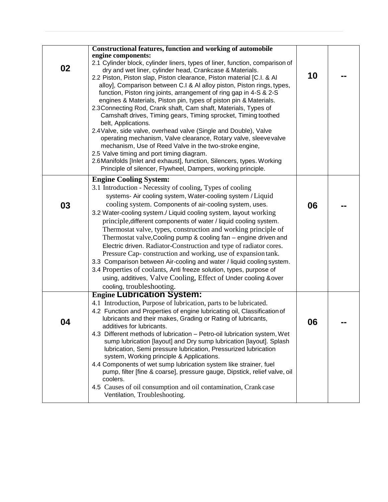| 02 | <b>Constructional features, function and working of automobile</b><br>engine components:<br>2.1 Cylinder block, cylinder liners, types of liner, function, comparison of<br>dry and wet liner, cylinder head, Crankcase & Materials.<br>2.2 Piston, Piston slap, Piston clearance, Piston material [C.I. & Al<br>alloy], Comparison between C.I & AI alloy piston, Piston rings, types,<br>function, Piston ring joints, arrangement of ring gap in 4-S & 2-S<br>engines & Materials, Piston pin, types of piston pin & Materials.<br>2.3 Connecting Rod, Crank shaft, Cam shaft, Materials, Types of<br>Camshaft drives, Timing gears, Timing sprocket, Timing toothed<br>belt, Applications.<br>2.4 Valve, side valve, overhead valve (Single and Double), Valve<br>operating mechanism, Valve clearance, Rotary valve, sleevevalve<br>mechanism, Use of Reed Valve in the two-stroke engine,<br>2.5 Valve timing and port timing diagram.<br>2.6 Manifolds [Inlet and exhaust], function, Silencers, types. Working<br>Principle of silencer, Flywheel, Dampers, working principle. | 10 |  |
|----|----------------------------------------------------------------------------------------------------------------------------------------------------------------------------------------------------------------------------------------------------------------------------------------------------------------------------------------------------------------------------------------------------------------------------------------------------------------------------------------------------------------------------------------------------------------------------------------------------------------------------------------------------------------------------------------------------------------------------------------------------------------------------------------------------------------------------------------------------------------------------------------------------------------------------------------------------------------------------------------------------------------------------------------------------------------------------------------|----|--|
| 03 | <b>Engine Cooling System:</b><br>3.1 Introduction - Necessity of cooling, Types of cooling<br>systems- Air cooling system, Water-cooling system / Liquid<br>cooling system. Components of air-cooling system, uses.<br>3.2 Water-cooling system./ Liquid cooling system, layout working<br>principle, different components of water / liquid cooling system.<br>Thermostat valve, types, construction and working principle of<br>Thermostat valve, Cooling pump & cooling fan – engine driven and<br>Electric driven. Radiator-Construction and type of radiator cores.<br>Pressure Cap-construction and working, use of expansion tank.<br>3.3 Comparison between Air-cooling and water / liquid cooling system.<br>3.4 Properties of coolants, Anti freeze solution, types, purpose of<br>using, additives, Valve Cooling, Effect of Under cooling & over<br>cooling, troubleshooting.                                                                                                                                                                                              | 06 |  |
| 04 | <b>Engine Lubrication System:</b><br>4.1 Introduction, Purpose of lubrication, parts to be lubricated.<br>4.2 Function and Properties of engine lubricating oil, Classification of<br>lubricants and their makes, Grading or Rating of lubricants,<br>additives for lubricants.<br>4.3 Different methods of lubrication - Petro-oil lubrication system, Wet<br>sump lubrication [layout] and Dry sump lubrication [layout]. Splash<br>lubrication, Semi pressure lubrication, Pressurized lubrication<br>system, Working principle & Applications.<br>4.4 Components of wet sump lubrication system like strainer, fuel<br>pump, filter [fine & coarse], pressure gauge, Dipstick, relief valve, oil<br>coolers.<br>4.5 Causes of oil consumption and oil contamination, Crank case<br>Ventilation, Troubleshooting.                                                                                                                                                                                                                                                                   | 06 |  |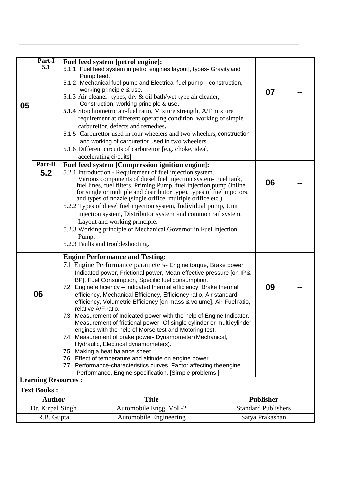|    | Part-I<br>5.1                       | Fuel feed system [petrol engine]:                                                                                                              |                                                |  |  |  |  |  |  |  |
|----|-------------------------------------|------------------------------------------------------------------------------------------------------------------------------------------------|------------------------------------------------|--|--|--|--|--|--|--|
|    |                                     | 5.1.1 Fuel feed system in petrol engines layout], types- Gravity and<br>Pump feed.                                                             |                                                |  |  |  |  |  |  |  |
|    |                                     | 5.1.2 Mechanical fuel pump and Electrical fuel pump - construction,                                                                            |                                                |  |  |  |  |  |  |  |
|    |                                     | working principle & use.                                                                                                                       | 07                                             |  |  |  |  |  |  |  |
| 05 |                                     | 5.1.3 Air cleaner- types, dry & oil bath/wet type air cleaner,<br>Construction, working principle & use.                                       |                                                |  |  |  |  |  |  |  |
|    |                                     | <b>5.1.4</b> Stoichiometric air-fuel ratio, Mixture strength, A/F mixture                                                                      |                                                |  |  |  |  |  |  |  |
|    |                                     | requirement at different operating condition, working of simple                                                                                |                                                |  |  |  |  |  |  |  |
|    |                                     | carburettor, defects and remedies.                                                                                                             |                                                |  |  |  |  |  |  |  |
|    |                                     | 5.1.5 Carburettor used in four wheelers and two wheelers, construction<br>and working of carburettor used in two wheelers.                     |                                                |  |  |  |  |  |  |  |
|    |                                     | 5.1.6 Different circuits of carburettor [e.g. choke, ideal,                                                                                    |                                                |  |  |  |  |  |  |  |
|    |                                     | accelerating circuits],                                                                                                                        |                                                |  |  |  |  |  |  |  |
|    | Part-II                             | Fuel feed system [Compression ignition engine]:                                                                                                |                                                |  |  |  |  |  |  |  |
|    | 5.2                                 | 5.2.1 Introduction - Requirement of fuel injection system.                                                                                     |                                                |  |  |  |  |  |  |  |
|    |                                     | Various components of diesel fuel injection system- Fuel tank,<br>fuel lines, fuel filters, Priming Pump, fuel injection pump (inline          | 06                                             |  |  |  |  |  |  |  |
|    |                                     | for single or multiple and distributor type), types of fuel injectors,                                                                         |                                                |  |  |  |  |  |  |  |
|    |                                     | and types of nozzle (single orifice, multiple orifice etc.).                                                                                   |                                                |  |  |  |  |  |  |  |
|    |                                     | 5.2.2 Types of diesel fuel injection system, Individual pump, Unit<br>injection system, Distributor system and common rail system.             |                                                |  |  |  |  |  |  |  |
|    |                                     | Layout and working principle.                                                                                                                  |                                                |  |  |  |  |  |  |  |
|    |                                     | 5.2.3 Working principle of Mechanical Governor in Fuel Injection                                                                               |                                                |  |  |  |  |  |  |  |
|    |                                     | Pump.                                                                                                                                          |                                                |  |  |  |  |  |  |  |
|    |                                     | 5.2.3 Faults and troubleshooting.                                                                                                              |                                                |  |  |  |  |  |  |  |
|    |                                     | <b>Engine Performance and Testing:</b>                                                                                                         |                                                |  |  |  |  |  |  |  |
|    |                                     | 7.1 Engine Performance parameters- Engine torque, Brake power                                                                                  |                                                |  |  |  |  |  |  |  |
|    |                                     | Indicated power, Frictional power, Mean effective pressure [on IP &                                                                            |                                                |  |  |  |  |  |  |  |
|    |                                     | BP], Fuel Consumption, Specific fuel consumption.<br>Engine efficiency - indicated thermal efficiency, Brake thermal<br>7.2                    | 09                                             |  |  |  |  |  |  |  |
|    | 06                                  | efficiency, Mechanical Efficiency, Efficiency ratio, Air standard                                                                              |                                                |  |  |  |  |  |  |  |
|    |                                     | efficiency, Volumetric Efficiency [on mass & volume], Air-Fuel ratio,                                                                          |                                                |  |  |  |  |  |  |  |
|    |                                     | relative A/F ratio.                                                                                                                            |                                                |  |  |  |  |  |  |  |
|    |                                     | 7.3 Measurement of Indicated power with the help of Engine Indicator.<br>Measurement of frictional power- Of single cylinder or multi cylinder |                                                |  |  |  |  |  |  |  |
|    |                                     | engines with the help of Morse test and Motoring test.                                                                                         |                                                |  |  |  |  |  |  |  |
|    |                                     | 7.4 Measurement of brake power- Dynamometer (Mechanical,                                                                                       |                                                |  |  |  |  |  |  |  |
|    |                                     | 7.5 Making a heat balance sheet.                                                                                                               | Hydraulic, Electrical dynamometers).           |  |  |  |  |  |  |  |
|    |                                     | 7.6 Effect of temperature and altitude on engine power.                                                                                        |                                                |  |  |  |  |  |  |  |
|    |                                     | 7.7 Performance-characteristics curves, Factor affecting theengine                                                                             |                                                |  |  |  |  |  |  |  |
|    | <b>Learning Resources:</b>          | Performance, Engine specification. [Simple problems]                                                                                           |                                                |  |  |  |  |  |  |  |
|    |                                     |                                                                                                                                                |                                                |  |  |  |  |  |  |  |
|    | <b>Text Books:</b><br><b>Author</b> |                                                                                                                                                |                                                |  |  |  |  |  |  |  |
|    | Dr. Kirpal Singh                    | <b>Title</b><br>Automobile Engg. Vol.-2                                                                                                        | <b>Publisher</b><br><b>Standard Publishers</b> |  |  |  |  |  |  |  |
|    | R.B. Gupta                          | <b>Automobile Engineering</b>                                                                                                                  | Satya Prakashan                                |  |  |  |  |  |  |  |
|    |                                     |                                                                                                                                                |                                                |  |  |  |  |  |  |  |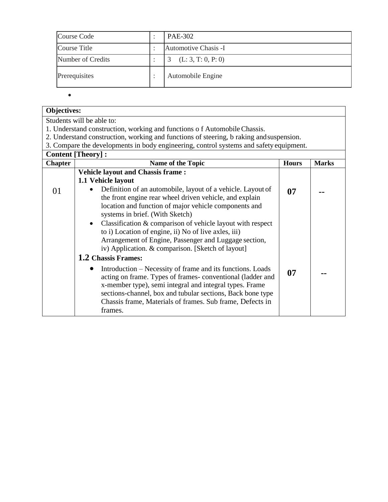| Course Code       | <b>PAE-302</b>       |
|-------------------|----------------------|
| Course Title      | Automotive Chasis -I |
| Number of Credits | (L: 3, T: 0, P: 0)   |
| Prerequisites     | Automobile Engine    |

 $\bullet$ 

| <b>Objectives:</b> |                                                                                                                                                                                                                                                                                                                          |              |              |  |  |  |  |  |
|--------------------|--------------------------------------------------------------------------------------------------------------------------------------------------------------------------------------------------------------------------------------------------------------------------------------------------------------------------|--------------|--------------|--|--|--|--|--|
|                    | Students will be able to:                                                                                                                                                                                                                                                                                                |              |              |  |  |  |  |  |
|                    | 1. Understand construction, working and functions of Automobile Chassis.                                                                                                                                                                                                                                                 |              |              |  |  |  |  |  |
|                    | 2. Understand construction, working and functions of steering, b raking and suspension.                                                                                                                                                                                                                                  |              |              |  |  |  |  |  |
|                    | 3. Compare the developments in body engineering, control systems and safety equipment.                                                                                                                                                                                                                                   |              |              |  |  |  |  |  |
|                    | <b>Content [Theory]:</b>                                                                                                                                                                                                                                                                                                 |              |              |  |  |  |  |  |
| <b>Chapter</b>     | Name of the Topic                                                                                                                                                                                                                                                                                                        | <b>Hours</b> | <b>Marks</b> |  |  |  |  |  |
|                    | <b>Vehicle layout and Chassis frame:</b>                                                                                                                                                                                                                                                                                 |              |              |  |  |  |  |  |
|                    | 1.1 Vehicle layout                                                                                                                                                                                                                                                                                                       |              |              |  |  |  |  |  |
| 01                 | Definition of an automobile, layout of a vehicle. Layout of<br>the front engine rear wheel driven vehicle, and explain<br>location and function of major vehicle components and<br>systems in brief. (With Sketch)                                                                                                       | 07           |              |  |  |  |  |  |
|                    | Classification $&$ comparison of vehicle layout with respect<br>$\bullet$<br>to i) Location of engine, ii) No of live axles, iii)<br>Arrangement of Engine, Passenger and Luggage section,<br>iv) Application. & comparison. [Sketch of layout]                                                                          |              |              |  |  |  |  |  |
|                    | 1.2 Chassis Frames:                                                                                                                                                                                                                                                                                                      |              |              |  |  |  |  |  |
|                    | Introduction – Necessity of frame and its functions. Loads<br>acting on frame. Types of frames-conventional (ladder and<br>x-member type), semi integral and integral types. Frame<br>sections-channel, box and tubular sections, Back bone type<br>Chassis frame, Materials of frames. Sub frame, Defects in<br>frames. | 07           |              |  |  |  |  |  |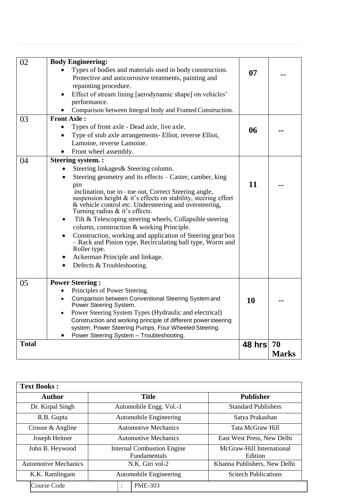| 02           | <b>Body Engineering:</b>                                                                                                            |           |              |
|--------------|-------------------------------------------------------------------------------------------------------------------------------------|-----------|--------------|
|              | Types of bodies and materials used in body construction.                                                                            | 07        |              |
|              | Protective and anticorrosive treatments, painting and                                                                               |           |              |
|              | repainting procedure.                                                                                                               |           |              |
|              | Effect of stream lining [aerodynamic shape] on vehicles'                                                                            |           |              |
|              | performance.                                                                                                                        |           |              |
|              | Comparison between Integral body and Framed Construction.                                                                           |           |              |
| 03           | <b>Front Axle:</b>                                                                                                                  |           |              |
|              | Types of front axle - Dead axle, live axle.<br>$\bullet$                                                                            | 06        |              |
|              | Type of stub axle arrangements- Elliot, reverse Elliot,<br>$\bullet$                                                                |           |              |
|              | Lamoine, reverse Lamoine.                                                                                                           |           |              |
|              | Front wheel assembly.                                                                                                               |           |              |
| 04           | <b>Steering system.:</b>                                                                                                            |           |              |
|              | Steering linkages & Steering column.<br>$\bullet$                                                                                   |           |              |
|              | Steering geometry and its effects – Caster, camber, king<br>$\bullet$                                                               |           |              |
|              | pin                                                                                                                                 | 11        |              |
|              | inclination, toe in– toe out, Correct Steering angle,                                                                               |           |              |
|              | suspension height $\&$ it's effects on stability, steering effort                                                                   |           |              |
|              | & vehicle control etc. Understeering and oversteering,                                                                              |           |              |
|              | Turning radius & it's effects.                                                                                                      |           |              |
|              | Tilt & Telescoping steering wheels, Collapsible steering<br>$\bullet$                                                               |           |              |
|              | column, construction & working Principle.                                                                                           |           |              |
|              | Construction, working and application of Steering gearbox<br>$\bullet$<br>- Rack and Pinion type, Recirculating ball type, Worm and |           |              |
|              | Roller type.                                                                                                                        |           |              |
|              | Ackerman Principle and linkage.                                                                                                     |           |              |
|              | Defects & Troubleshooting.                                                                                                          |           |              |
|              |                                                                                                                                     |           |              |
| 05           | <b>Power Steering:</b>                                                                                                              |           |              |
|              | Principles of Power Steering.<br>$\bullet$                                                                                          |           |              |
|              | Comparison between Conventional Steering System and                                                                                 | 10        |              |
|              | Power Steering System.                                                                                                              |           |              |
|              | Power Steering System Types (Hydraulic and electrical)<br>$\bullet$                                                                 |           |              |
|              | Construction and working principle of different powersteering                                                                       |           |              |
|              | system, Power Steering Pumps, Four Wheeled Steering.                                                                                |           |              |
|              | Power Steering System - Troubleshooting.                                                                                            |           |              |
| <b>Total</b> |                                                                                                                                     | 48 hrs 70 |              |
|              |                                                                                                                                     |           | <b>Marks</b> |
|              |                                                                                                                                     |           |              |

| <b>Text Books:</b>          |                                                   |                                      |  |
|-----------------------------|---------------------------------------------------|--------------------------------------|--|
| <b>Author</b>               | <b>Title</b>                                      | <b>Publisher</b>                     |  |
| Dr. Kirpal Singh            | Automobile Engg. Vol.-1                           | <b>Standard Publishers</b>           |  |
| R.B. Gupta                  | Automobile Engineering                            | Satya Prakashan                      |  |
| Crouse & Angline            | <b>Automotive Mechanics</b>                       | Tata McGraw Hill                     |  |
| Joseph Heitner              | <b>Automotive Mechanics</b>                       | East West Press, New Delhi           |  |
| John B. Heywood             | <b>Internal Combustion Engine</b><br>Fundamentals | McGraw-Hill International<br>Edition |  |
| <b>Automotive Mechanics</b> | N.K. Giri vol-2                                   | Khanna Publishers, New Delhi         |  |
| K.K. Ramlingam              | Automobile Engineering                            | <b>Scitech Publications</b>          |  |
| <b>Course Code</b>          | <b>PME-303</b><br>٠<br>$\ddot{\phantom{a}}$       |                                      |  |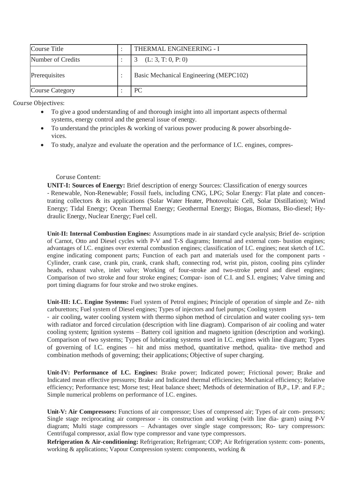| Course Title           | THERMAL ENGINEERING - I                |
|------------------------|----------------------------------------|
| Number of Credits      | (L: 3, T: 0, P: 0)                     |
| Prerequisites          | Basic Mechanical Engineering (MEPC102) |
| <b>Course Category</b> | PC.                                    |

Course Objectives:

- To give a good understanding of and thorough insight into all important aspects ofthermal systems, energy control and the general issue of energy.
- To understand the principles & working of various power producing & power absorbingdevices.
- To study, analyze and evaluate the operation and the performance of I.C. engines, compres-

### Coruse Content:

**UNIT-I: Sources of Energy:** Brief description of energy Sources: Classification of energy sources - Renewable, Non-Renewable; Fossil fuels, including CNG, LPG; Solar Energy: Flat plate and concentrating collectors & its applications (Solar Water Heater, Photovoltaic Cell, Solar Distillation); Wind Energy; Tidal Energy; Ocean Thermal Energy; Geothermal Energy; Biogas, Biomass, Bio-diesel; Hydraulic Energy, Nuclear Energy; Fuel cell.

**Unit-II: Internal Combustion Engines:** Assumptions made in air standard cycle analysis; Brief de- scription of Carnot, Otto and Diesel cycles with P-V and T-S diagrams; Internal and external com- bustion engines; advantages of I.C. engines over external combustion engines; classification of I.C. engines; neat sketch of I.C. engine indicating component parts; Function of each part and materials used for the component parts - Cylinder, crank case, crank pin, crank, crank shaft, connecting rod, wrist pin, piston, cooling pins cylinder heads, exhaust valve, inlet valve; Working of four-stroke and two-stroke petrol and diesel engines; Comparison of two stroke and four stroke engines; Compar- ison of C.I. and S.I. engines; Valve timing and port timing diagrams for four stroke and two stroke engines.

**Unit-III: I.C. Engine Systems:** Fuel system of Petrol engines; Principle of operation of simple and Ze- nith carburettors; Fuel system of Diesel engines; Types of injectors and fuel pumps; Cooling system

- air cooling, water cooling system with thermo siphon method of circulation and water cooling sys- tem with radiator and forced circulation (description with line diagram). Comparison of air cooling and water cooling system; Ignition systems – Battery coil ignition and magneto ignition (description and working). Comparison of two systems; Types of lubricating systems used in I.C. engines with line diagram; Types of governing of I.C. engines – hit and miss method, quantitative method, qualita- tive method and combination methods of governing; their applications; Objective of super charging.

**Unit-IV: Performance of I.C. Engines:** Brake power; Indicated power; Frictional power; Brake and Indicated mean effective pressures; Brake and Indicated thermal efficiencies; Mechanical efficiency; Relative efficiency; Performance test; Morse test; Heat balance sheet; Methods of determination of B,P., I.P. and F.P.; Simple numerical problems on performance of I.C. engines.

**Unit-V: Air Compressors:** Functions of air compressor; Uses of compressed air; Types of air com- pressors; Single stage reciprocating air compressor - its construction and working (with line dia- gram) using P-V diagram; Multi stage compressors – Advantages over single stage compressors; Ro- tary compressors: Centrifugal compressor, axial flow type compressor and vane type compressors.

**Refrigeration & Air-conditioning:** Refrigeration; Refrigerant; COP; Air Refrigeration system: com- ponents, working & applications; Vapour Compression system: components, working &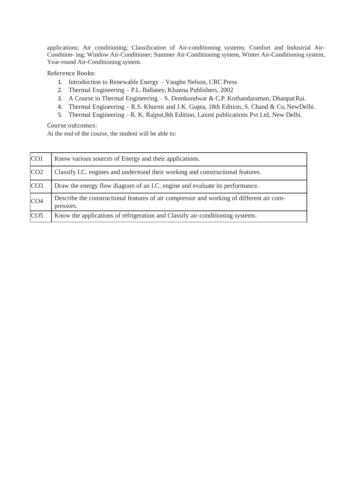applications; Air conditioning; Classification of Air-conditioning systems; Comfort and Industrial Air-Condition- ing; Window Air-Conditioner; Summer Air-Conditioning system, Winter Air-Conditioning system, Year-round Air-Conditioning system.

Reference Books:

- 1. Introduction to Renewable Energy Vaughn Nelson, CRC Press
- 2. Thermal Engineering P.L. Ballaney, Khanna Publishers, 2002
- 3. A Course in Thermal Engineering S. Domkundwar & C.P. Kothandaraman, DhanpatRai.
- 4. Thermal Engineering R.S. Khurmi and J.K. Gupta, 18th Edition, S. Chand & Co, NewDelhi.
- 5. Thermal Engineering R. K. Rajput,8th Edition, Laxmi publications Pvt Ltd, New Delhi.

Course outcomes:

At the end of the course, the student will be able to:

| CO <sub>1</sub> | Know various sources of Energy and their applications.                                                |
|-----------------|-------------------------------------------------------------------------------------------------------|
| CO <sub>2</sub> | Classify I.C. engines and understand their working and constructional features.                       |
| CO <sub>3</sub> | Draw the energy flow diagram of an I.C. engine and evaluate its performance.                          |
| CO <sub>4</sub> | Describe the constructional features of air compressor and working of different air com-<br>pressors. |
| CO <sub>5</sub> | Know the applications of refrigeration and Classify air-conditioning systems.                         |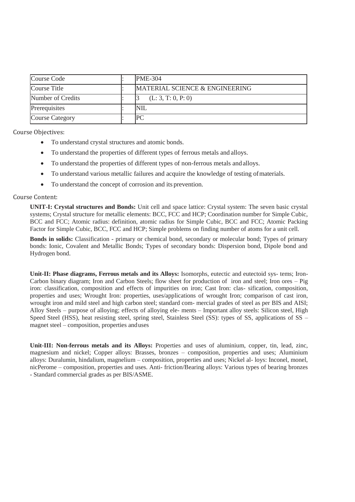| Course Code            | <b>PME-304</b>                 |
|------------------------|--------------------------------|
| Course Title           | MATERIAL SCIENCE & ENGINEERING |
| Number of Credits      | (L: 3, T: 0, P: 0)             |
| Prerequisites          | NIL                            |
| <b>Course Category</b> |                                |

Course Objectives:

- To understand crystal structures and atomic bonds.
- To understand the properties of different types of ferrous metals and alloys.
- To understand the properties of different types of non-ferrous metals and alloys.
- To understand various metallic failures and acquire the knowledge of testing ofmaterials.
- To understand the concept of corrosion and its prevention.

### Course Content:

**UNIT-I: Crystal structures and Bonds:** Unit cell and space lattice: Crystal system: The seven basic crystal systems; Crystal structure for metallic elements: BCC, FCC and HCP; Coordination number for Simple Cubic, BCC and FCC; Atomic radius: definition, atomic radius for Simple Cubic, BCC and FCC; Atomic Packing Factor for Simple Cubic, BCC, FCC and HCP; Simple problems on finding number of atoms for a unit cell.

**Bonds in solids:** Classification - primary or chemical bond, secondary or molecular bond; Types of primary bonds: Ionic, Covalent and Metallic Bonds; Types of secondary bonds: Dispersion bond, Dipole bond and Hydrogen bond.

**Unit-II: Phase diagrams, Ferrous metals and its Alloys:** Isomorphs, eutectic and eutectoid sys- tems; Iron-Carbon binary diagram; Iron and Carbon Steels; flow sheet for production of iron and steel; Iron ores – Pig iron: classification, composition and effects of impurities on iron; Cast Iron: clas- sification, composition, properties and uses; Wrought Iron: properties, uses/applications of wrought Iron; comparison of cast iron, wrought iron and mild steel and high carbon steel; standard com- mercial grades of steel as per BIS and AISI; Alloy Steels – purpose of alloying; effects of alloying ele- ments – Important alloy steels: Silicon steel, High Speed Steel (HSS), heat resisting steel, spring steel, Stainless Steel (SS): types of SS, applications of SS – magnet steel – composition, properties anduses

**Unit-III: Non-ferrous metals and its Alloys:** Properties and uses of aluminium, copper, tin, lead, zinc, magnesium and nickel; Copper alloys: Brasses, bronzes – composition, properties and uses; Aluminium alloys: Duralumin, hindalium, magnelium – composition, properties and uses; Nickel al- loys: Inconel, monel, nicPerome – composition, properties and uses. Anti- friction/Bearing alloys: Various types of bearing bronzes - Standard commercial grades as per BIS/ASME.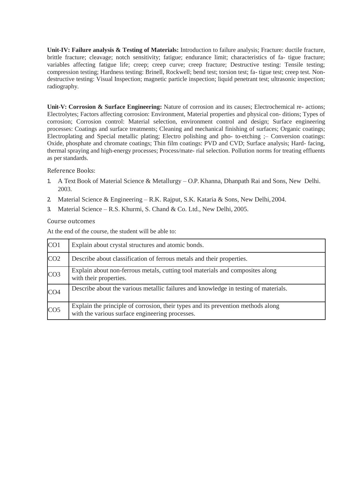**Unit-IV: Failure analysis & Testing of Materials:** Introduction to failure analysis; Fracture: ductile fracture, brittle fracture; cleavage; notch sensitivity; fatigue; endurance limit; characteristics of fa- tigue fracture; variables affecting fatigue life; creep; creep curve; creep fracture; Destructive testing: Tensile testing; compression testing; Hardness testing: Brinell, Rockwell; bend test; torsion test; fa- tigue test; creep test. Nondestructive testing: Visual Inspection; magnetic particle inspection; liquid penetrant test; ultrasonic inspection; radiography.

**Unit-V: Corrosion & Surface Engineering:** Nature of corrosion and its causes; Electrochemical re- actions; Electrolytes; Factors affecting corrosion: Environment, Material properties and physical con- ditions; Types of corrosion; Corrosion control: Material selection, environment control and design; Surface engineering processes: Coatings and surface treatments; Cleaning and mechanical finishing of surfaces; Organic coatings; Electroplating and Special metallic plating; Electro polishing and pho- to-etching ;– Conversion coatings: Oxide, phosphate and chromate coatings; Thin film coatings: PVD and CVD; Surface analysis; Hard- facing, thermal spraying and high-energy processes; Process/mate- rial selection. Pollution norms for treating effluents as per standards.

Reference Books:

- 1. A Text Book of Material Science & Metallurgy O.P. Khanna, Dhanpath Rai and Sons, New Delhi. 2003.
- 2. Material Science & Engineering R.K. Rajput, S.K. Kataria & Sons, New Delhi,2004.
- 3. Material Science R.S. Khurmi, S. Chand & Co. Ltd., New Delhi, 2005.

### Course outcomes

At the end of the course, the student will be able to:

| CO <sub>1</sub> | Explain about crystal structures and atomic bonds.                                                                                  |
|-----------------|-------------------------------------------------------------------------------------------------------------------------------------|
| CO <sub>2</sub> | Describe about classification of ferrous metals and their properties.                                                               |
| CO <sub>3</sub> | Explain about non-ferrous metals, cutting tool materials and composites along<br>with their properties.                             |
| CO <sub>4</sub> | Describe about the various metallic failures and knowledge in testing of materials.                                                 |
| CO <sub>5</sub> | Explain the principle of corrosion, their types and its prevention methods along<br>with the various surface engineering processes. |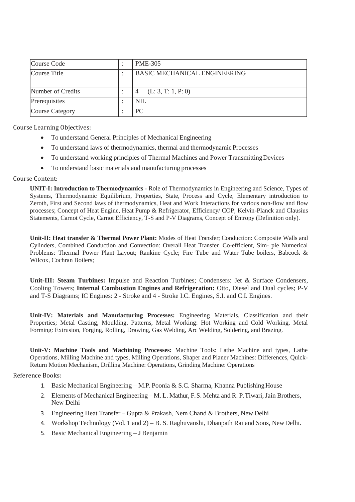| Course Code            | <b>PME-305</b>                      |
|------------------------|-------------------------------------|
| Course Title           | <b>BASIC MECHANICAL ENGINEERING</b> |
| Number of Credits      | (L: 3, T: 1, P: 0)                  |
| Prerequisites          | <b>NIL</b>                          |
| <b>Course Category</b> | РC                                  |

Course Learning Objectives:

- To understand General Principles of Mechanical Engineering
- To understand laws of thermodynamics, thermal and thermodynamic Processes
- To understand working principles of Thermal Machines and Power TransmittingDevices
- To understand basic materials and manufacturing processes

### Course Content:

**UNIT-I: Introduction to Thermodynamics** - Role of Thermodynamics in Engineering and Science, Types of Systems, Thermodynamic Equilibrium, Properties, State, Process and Cycle, Elementary introduction to Zeroth, First and Second laws of thermodynamics, Heat and Work Interactions for various non-flow and flow processes; Concept of Heat Engine, Heat Pump & Refrigerator, Efficiency/ COP; Kelvin-Planck and Clausius Statements, Carnot Cycle, Carnot Efficiency, T-S and P-V Diagrams, Concept of Entropy (Definition only).

**Unit-II: Heat transfer & Thermal Power Plant:** Modes of Heat Transfer; Conduction: Composite Walls and Cylinders, Combined Conduction and Convection: Overall Heat Transfer Co-efficient, Sim- ple Numerical Problems: Thermal Power Plant Layout; Rankine Cycle; Fire Tube and Water Tube boilers, Babcock & Wilcox, Cochran Boilers;

**Unit-III: Steam Turbines:** Impulse and Reaction Turbines; Condensers: Jet & Surface Condensers, Cooling Towers; **Internal Combustion Engines and Refrigeration:** Otto, Diesel and Dual cycles; P-V and T-S Diagrams; IC Engines: 2 - Stroke and 4 - Stroke I.C. Engines, S.I. and C.I. Engines.

**Unit-IV: Materials and Manufacturing Processes:** Engineering Materials, Classification and their Properties; Metal Casting, Moulding, Patterns, Metal Working: Hot Working and Cold Working, Metal Forming: Extrusion, Forging, Rolling, Drawing, Gas Welding, Arc Welding, Soldering, and Brazing.

**Unit-V: Machine Tools and Machining Processes:** Machine Tools: Lathe Machine and types, Lathe Operations, Milling Machine and types, Milling Operations, Shaper and Planer Machines: Differences, Quick-Return Motion Mechanism, Drilling Machine: Operations, Grinding Machine: Operations

### Reference Books:

- 1. Basic Mechanical Engineering M.P. Poonia & S.C. Sharma, Khanna Publishing House
- 2. Elements of Mechanical Engineering M. L. Mathur, F.S. Mehta and R. P.Tiwari,Jain Brothers, New Delhi
- 3. Engineering Heat Transfer Gupta & Prakash, Nem Chand & Brothers, New Delhi
- 4. Workshop Technology (Vol. 1 and 2) B. S. Raghuvanshi, Dhanpath Rai and Sons, NewDelhi.
- 5. Basic Mechanical Engineering J Benjamin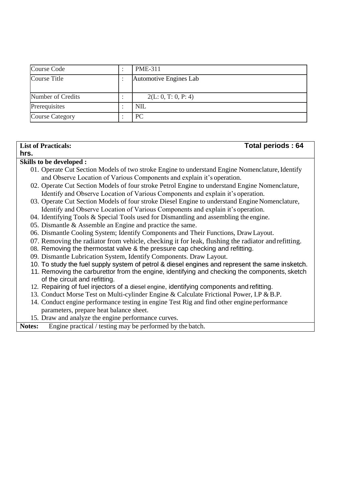| Course Code            |  | <b>PME-311</b>         |
|------------------------|--|------------------------|
| Course Title           |  | Automotive Engines Lab |
|                        |  |                        |
| Number of Credits      |  | 2(L: 0, T: 0, P: 4)    |
| Prerequisites          |  | <b>NIL</b>             |
| <b>Course Category</b> |  | PC.                    |

### **List of Practicals: Total periods : 64**

### **hrs.**

### **Skills to be developed :**

- 01. Operate Cut Section Models of two stroke Engine to understand Engine Nomenclature, Identify and Observe Location of Various Components and explain it's operation.
- 02. Operate Cut Section Models of four stroke Petrol Engine to understand Engine Nomenclature, Identify and Observe Location of Various Components and explain it's operation.
- 03. Operate Cut Section Models of four stroke Diesel Engine to understand Engine Nomenclature, Identify and Observe Location of Various Components and explain it's operation.
- 04. Identifying Tools & Special Tools used for Dismantling and assembling the engine.
- 05. Dismantle & Assemble an Engine and practice the same.
- 06. Dismantle Cooling System; Identify Components and Their Functions, DrawLayout.
- 07. Removing the radiator from vehicle, checking it for leak, flushing the radiator andrefitting.
- 08. Removing the thermostat valve & the pressure cap checking and refitting.
- 09. Dismantle Lubrication System, Identify Components. Draw Layout.
- 10. To study the fuel supply system of petrol & diesel engines and represent the same insketch.
- 11. Removing the carburettor from the engine, identifying and checking the components, sketch of the circuit and refitting.
- 12. Repairing of fuel injectors of a diesel engine, identifying components and refitting.
- 13. Conduct Morse Test on Multi-cylinder Engine & Calculate Frictional Power, I.P & B.P.
- 14. Conduct engine performance testing in engine Test Rig and find other engine performance parameters, prepare heat balance sheet.
- 15. Draw and analyze the engine performance curves.

**Notes:** Engine practical / testing may be performed by the batch.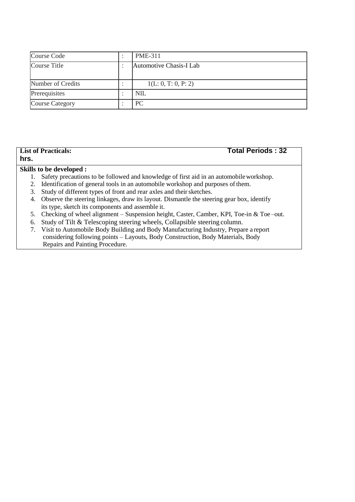| Course Code            | <b>PME-311</b>          |
|------------------------|-------------------------|
| Course Title           | Automotive Chasis-I Lab |
| Number of Credits      | 1(L: 0, T: 0, P: 2)     |
| Prerequisites          | <b>NIL</b>              |
| <b>Course Category</b> | PC.                     |

## **hrs.**

### **List of Practicals: Total Periods : 32**

### **Skills to be developed :**

- 1. Safety precautions to be followed and knowledge of first aid in an automobileworkshop.
- 2. Identification of general tools in an automobile workshop and purposes of them.
- 3. Study of different types of front and rear axles and their sketches.
- 4. Observe the steering linkages, draw its layout. Dismantle the steering gear box, identify its type, sketch its components and assemble it.
- 5. Checking of wheel alignment Suspension height, Caster, Camber, KPI, Toe-in & Toe –out.
- 6. Study of Tilt & Telescoping steering wheels, Collapsible steering column.
- 7. Visit to Automobile Body Building and Body Manufacturing Industry, Prepare a report considering following points – Layouts, Body Construction, Body Materials, Body Repairs and Painting Procedure.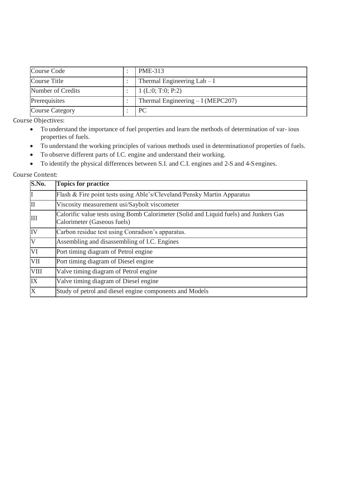| Course Code            | PME-313                             |
|------------------------|-------------------------------------|
| Course Title           | Thermal Engineering $Lab-I$         |
| Number of Credits      | 1 (L:0; T:0; P:2)                   |
| Prerequisites          | Thermal Engineering $- I$ (MEPC207) |
| <b>Course Category</b> | PC.                                 |

Course Objectives:

- To understand the importance of fuel properties and learn the methods of determination of var- ious properties of fuels.
- To understand the working principles of various methods used in determinationof properties of fuels.
- To observe different parts of I.C. engine and understand their working.
- To identify the physical differences between S.I. and C.I. engines and 2-S and 4-Sengines.

### Course Content:

| S.No.                   | <b>Topics for practice</b>                                                                                           |  |  |  |  |  |
|-------------------------|----------------------------------------------------------------------------------------------------------------------|--|--|--|--|--|
| I                       | Flash & Fire point tests using Able's/Cleveland/Pensky Martin Apparatus                                              |  |  |  |  |  |
| $\overline{\rm II}$     | Viscosity measurement usi/Saybolt viscometer                                                                         |  |  |  |  |  |
| III                     | Calorific value tests using Bomb Calorimeter (Solid and Liquid fuels) and Junkers Gas<br>Calorimeter (Gaseous fuels) |  |  |  |  |  |
| IV                      | Carbon residue test using Conradson's apparatus.                                                                     |  |  |  |  |  |
| $\overline{\mathsf{V}}$ | Assembling and disassembling of I.C. Engines                                                                         |  |  |  |  |  |
| $\overline{\text{VI}}$  | Port timing diagram of Petrol engine                                                                                 |  |  |  |  |  |
| VII                     | Port timing diagram of Diesel engine                                                                                 |  |  |  |  |  |
| VIII                    | Valve timing diagram of Petrol engine                                                                                |  |  |  |  |  |
| $\overline{\text{IX}}$  | Valve timing diagram of Diesel engine                                                                                |  |  |  |  |  |
| $\overline{\mathrm{X}}$ | Study of petrol and diesel engine components and Models                                                              |  |  |  |  |  |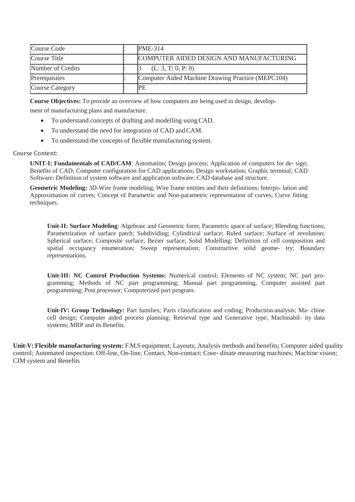| Course Code            | <b>PME-314</b>                                    |
|------------------------|---------------------------------------------------|
| Course Title           | COMPUTER AIDED DESIGN AND MANUFACTURING           |
| Number of Credits      | (L: 3, T: 0, P: 0)                                |
| Prerequisites          | Computer Aided Machine Drawing Practice (MEPC104) |
| <b>Course Category</b> | IPE                                               |

**Course Objectives:** To provide an overview of how computers are being used in design, develop-

ment of manufacturing plans and manufacture.

- To understand concepts of drafting and modelling usingCAD.
- To understand the need for integration of CAD and CAM.
- To understand the concepts of flexible manufacturing system.

### Course Content:

**UNIT-I: Fundamentals of CAD/CAM**: Automation; Design process; Application of computers for de- sign; Benefits of CAD; Computer configuration for CAD applications; Design workstation; Graphic terminal; CAD Software: Definition of system software and application software; CAD database and structure.

**Geometric Modeling:** 3D-Wire frame modeling; Wire frame entities and their definitions; Interpo- lation and Approximation of curves; Concept of Parametric and Non-parametric representation of curves; Curve fitting techniques.

**Unit-II: Surface Modeling**: Algebraic and Geometric form; Parametric space of surface; Blending functions; Parametrization of surface patch; Subdividing; Cylindrical surface; Ruled surface; Surface of revolution; Spherical surface; Composite surface; Bezier surface; Solid Modelling: Definition of cell composition and spatial occupancy enumeration; Sweep representation; Constructive solid geome- try; Boundary representations.

**Unit-III: NC Control Production Systems:** Numerical control; Elements of NC system; NC part programming; Methods of NC part programming; Manual part programming, Computer assisted part programming; Post processor; Computerized part program.

**Unit-IV: Group Technology:** Part families; Parts classification and coding; Production analysis; Ma- chine cell design; Computer aided process planning: Retrieval type and Generative type; Machinabil- ity data systems; MRP and its Benefits.

**Unit-V: Flexible manufacturing system:** F.M.S equipment; Layouts; Analysis methods and benefits; Computer aided quality control; Automated inspection: Off-line, On-line, Contact, Non-contact; Coor- dinate measuring machines; Machine vision; CIM system and Benefits